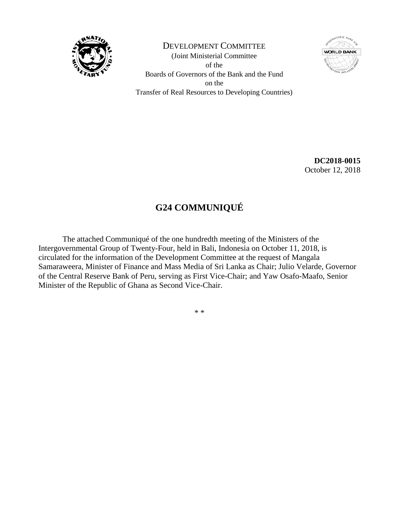

DEVELOPMENT COMMITTEE (Joint Ministerial Committee of the Boards of Governors of the Bank and the Fund on the Transfer of Real Resources to Developing Countries)



**DC2018-0015** October 12, 2018

## **G24 COMMUNIQUÉ**

The attached Communiqué of the one hundredth meeting of the Ministers of the Intergovernmental Group of Twenty-Four, held in Bali, Indonesia on October 11, 2018, is circulated for the information of the Development Committee at the request of Mangala Samaraweera, Minister of Finance and Mass Media of Sri Lanka as Chair; Julio Velarde, Governor of the Central Reserve Bank of Peru, serving as First Vice-Chair; and Yaw Osafo-Maafo, Senior Minister of the Republic of Ghana as Second Vice-Chair.

\* \*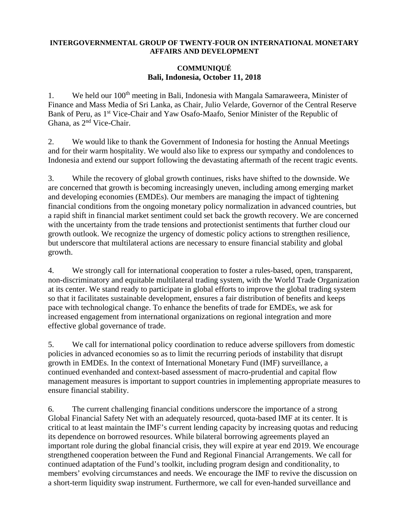## **INTERGOVERNMENTAL GROUP OF TWENTY-FOUR ON INTERNATIONAL MONETARY AFFAIRS AND DEVELOPMENT**

## **COMMUNIQUÉ Bali, Indonesia, October 11, 2018**

1. We held our 100<sup>th</sup> meeting in Bali, Indonesia with Mangala Samaraweera, Minister of Finance and Mass Media of Sri Lanka, as Chair, Julio Velarde, Governor of the Central Reserve Bank of Peru, as 1<sup>st</sup> Vice-Chair and Yaw Osafo-Maafo, Senior Minister of the Republic of Ghana, as 2nd Vice-Chair.

2. We would like to thank the Government of Indonesia for hosting the Annual Meetings and for their warm hospitality. We would also like to express our sympathy and condolences to Indonesia and extend our support following the devastating aftermath of the recent tragic events.

3. While the recovery of global growth continues, risks have shifted to the downside. We are concerned that growth is becoming increasingly uneven, including among emerging market and developing economies (EMDEs). Our members are managing the impact of tightening financial conditions from the ongoing monetary policy normalization in advanced countries, but a rapid shift in financial market sentiment could set back the growth recovery. We are concerned with the uncertainty from the trade tensions and protectionist sentiments that further cloud our growth outlook. We recognize the urgency of domestic policy actions to strengthen resilience, but underscore that multilateral actions are necessary to ensure financial stability and global growth.

4. We strongly call for international cooperation to foster a rules-based, open, transparent, non-discriminatory and equitable multilateral trading system, with the World Trade Organization at its center. We stand ready to participate in global efforts to improve the global trading system so that it facilitates sustainable development, ensures a fair distribution of benefits and keeps pace with technological change. To enhance the benefits of trade for EMDEs, we ask for increased engagement from international organizations on regional integration and more effective global governance of trade.

5. We call for international policy coordination to reduce adverse spillovers from domestic policies in advanced economies so as to limit the recurring periods of instability that disrupt growth in EMDEs. In the context of International Monetary Fund (IMF) surveillance, a continued evenhanded and context-based assessment of macro-prudential and capital flow management measures is important to support countries in implementing appropriate measures to ensure financial stability.

6. The current challenging financial conditions underscore the importance of a strong Global Financial Safety Net with an adequately resourced, quota-based IMF at its center. It is critical to at least maintain the IMF's current lending capacity by increasing quotas and reducing its dependence on borrowed resources. While bilateral borrowing agreements played an important role during the global financial crisis, they will expire at year end 2019. We encourage strengthened cooperation between the Fund and Regional Financial Arrangements. We call for continued adaptation of the Fund's toolkit, including program design and conditionality, to members' evolving circumstances and needs. We encourage the IMF to revive the discussion on a short-term liquidity swap instrument. Furthermore, we call for even-handed surveillance and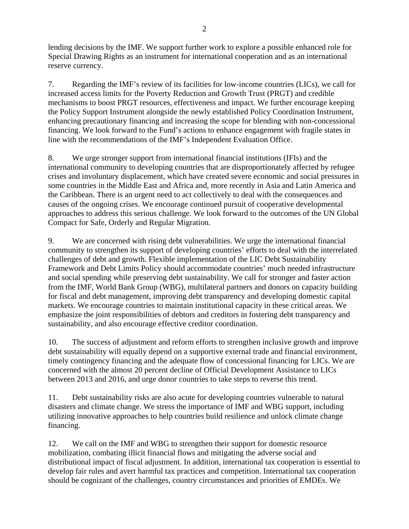lending decisions by the IMF. We support further work to explore a possible enhanced role for Special Drawing Rights as an instrument for international cooperation and as an international reserve currency.

7. Regarding the IMF's review of its facilities for low-income countries (LICs), we call for increased access limits for the Poverty Reduction and Growth Trust (PRGT) and credible mechanisms to boost PRGT resources, effectiveness and impact. We further encourage keeping the Policy Support Instrument alongside the newly established Policy Coordination Instrument, enhancing precautionary financing and increasing the scope for blending with non-concessional financing. We look forward to the Fund's actions to enhance engagement with fragile states in line with the recommendations of the IMF's Independent Evaluation Office.

8. We urge stronger support from international financial institutions (IFIs) and the international community to developing countries that are disproportionately affected by refugee crises and involuntary displacement, which have created severe economic and social pressures in some countries in the Middle East and Africa and, more recently in Asia and Latin America and the Caribbean. There is an urgent need to act collectively to deal with the consequences and causes of the ongoing crises. We encourage continued pursuit of cooperative developmental approaches to address this serious challenge. We look forward to the outcomes of the UN Global Compact for Safe, Orderly and Regular Migration.

9. We are concerned with rising debt vulnerabilities. We urge the international financial community to strengthen its support of developing countries' efforts to deal with the interrelated challenges of debt and growth. Flexible implementation of the LIC Debt Sustainability Framework and Debt Limits Policy should accommodate countries' much needed infrastructure and social spending while preserving debt sustainability. We call for stronger and faster action from the IMF, World Bank Group (WBG), multilateral partners and donors on capacity building for fiscal and debt management, improving debt transparency and developing domestic capital markets. We encourage countries to maintain institutional capacity in these critical areas. We emphasize the joint responsibilities of debtors and creditors in fostering debt transparency and sustainability, and also encourage effective creditor coordination.

10. The success of adjustment and reform efforts to strengthen inclusive growth and improve debt sustainability will equally depend on a supportive external trade and financial environment, timely contingency financing and the adequate flow of concessional financing for LICs. We are concerned with the almost 20 percent decline of Official Development Assistance to LICs between 2013 and 2016, and urge donor countries to take steps to reverse this trend.

11. Debt sustainability risks are also acute for developing countries vulnerable to natural disasters and climate change. We stress the importance of IMF and WBG support, including utilizing innovative approaches to help countries build resilience and unlock climate change financing.

12. We call on the IMF and WBG to strengthen their support for domestic resource mobilization, combating illicit financial flows and mitigating the adverse social and distributional impact of fiscal adjustment. In addition, international tax cooperation is essential to develop fair rules and avert harmful tax practices and competition. International tax cooperation should be cognizant of the challenges, country circumstances and priorities of EMDEs. We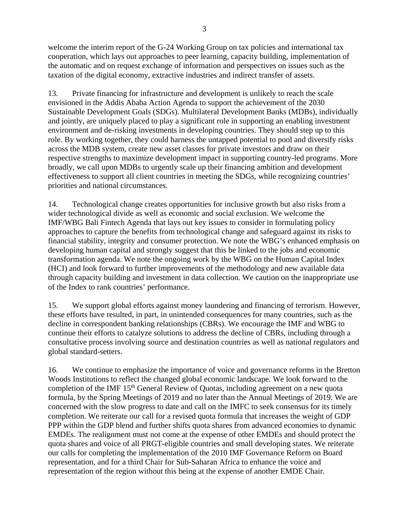welcome the interim report of the G-24 Working Group on tax policies and international tax cooperation, which lays out approaches to peer learning, capacity building, implementation of the automatic and on request exchange of information and perspectives on issues such as the taxation of the digital economy, extractive industries and indirect transfer of assets.

13. Private financing for infrastructure and development is unlikely to reach the scale envisioned in the Addis Ababa Action Agenda to support the achievement of the 2030 Sustainable Development Goals (SDGs). Multilateral Development Banks (MDBs), individually and jointly, are uniquely placed to play a significant role in supporting an enabling investment environment and de-risking investments in developing countries. They should step up to this role. By working together, they could harness the untapped potential to pool and diversify risks across the MDB system, create new asset classes for private investors and draw on their respective strengths to maximize development impact in supporting country-led programs. More broadly, we call upon MDBs to urgently scale up their financing ambition and development effectiveness to support all client countries in meeting the SDGs, while recognizing countries' priorities and national circumstances.

14. Technological change creates opportunities for inclusive growth but also risks from a wider technological divide as well as economic and social exclusion. We welcome the IMF/WBG Bali Fintech Agenda that lays out key issues to consider in formulating policy approaches to capture the benefits from technological change and safeguard against its risks to financial stability, integrity and consumer protection. We note the WBG's enhanced emphasis on developing human capital and strongly suggest that this be linked to the jobs and economic transformation agenda. We note the ongoing work by the WBG on the Human Capital Index (HCI) and look forward to further improvements of the methodology and new available data through capacity building and investment in data collection. We caution on the inappropriate use of the Index to rank countries' performance.

15. We support global efforts against money laundering and financing of terrorism. However, these efforts have resulted, in part, in unintended consequences for many countries, such as the decline in correspondent banking relationships (CBRs). We encourage the IMF and WBG to continue their efforts to catalyze solutions to address the decline of CBRs, including through a consultative process involving source and destination countries as well as national regulators and global standard-setters.

16. We continue to emphasize the importance of voice and governance reforms in the Bretton Woods Institutions to reflect the changed global economic landscape. We look forward to the completion of the IMF 15<sup>th</sup> General Review of Quotas, including agreement on a new quota formula, by the Spring Meetings of 2019 and no later than the Annual Meetings of 2019. We are concerned with the slow progress to date and call on the IMFC to seek consensus for its timely completion. We reiterate our call for a revised quota formula that increases the weight of GDP PPP within the GDP blend and further shifts quota shares from advanced economies to dynamic EMDEs. The realignment must not come at the expense of other EMDEs and should protect the quota shares and voice of all PRGT-eligible countries and small developing states. We reiterate our calls for completing the implementation of the 2010 IMF Governance Reform on Board representation, and for a third Chair for Sub-Saharan Africa to enhance the voice and representation of the region without this being at the expense of another EMDE Chair.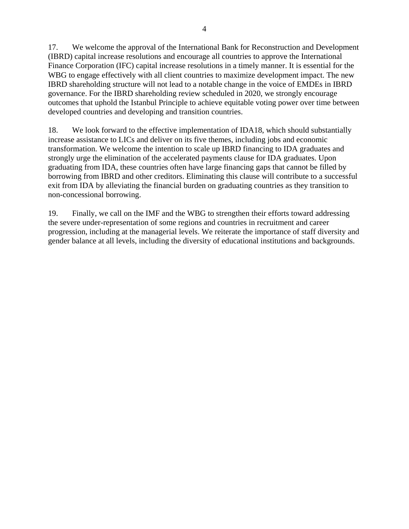17. We welcome the approval of the International Bank for Reconstruction and Development (IBRD) capital increase resolutions and encourage all countries to approve the International Finance Corporation (IFC) capital increase resolutions in a timely manner. It is essential for the WBG to engage effectively with all client countries to maximize development impact. The new IBRD shareholding structure will not lead to a notable change in the voice of EMDEs in IBRD governance. For the IBRD shareholding review scheduled in 2020, we strongly encourage outcomes that uphold the Istanbul Principle to achieve equitable voting power over time between developed countries and developing and transition countries.

18. We look forward to the effective implementation of IDA18, which should substantially increase assistance to LICs and deliver on its five themes, including jobs and economic transformation. We welcome the intention to scale up IBRD financing to IDA graduates and strongly urge the elimination of the accelerated payments clause for IDA graduates. Upon graduating from IDA, these countries often have large financing gaps that cannot be filled by borrowing from IBRD and other creditors. Eliminating this clause will contribute to a successful exit from IDA by alleviating the financial burden on graduating countries as they transition to non-concessional borrowing.

19. Finally, we call on the IMF and the WBG to strengthen their efforts toward addressing the severe under-representation of some regions and countries in recruitment and career progression, including at the managerial levels. We reiterate the importance of staff diversity and gender balance at all levels, including the diversity of educational institutions and backgrounds.